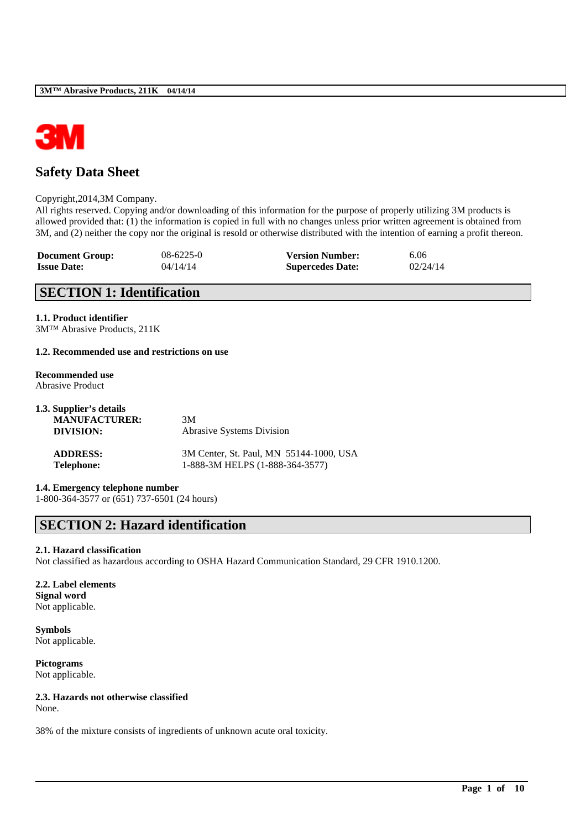

# **Safety Data Sheet**

#### Copyright,2014,3M Company.

All rights reserved. Copying and/or downloading of this information for the purpose of properly utilizing 3M products is allowed provided that: (1) the information is copied in full with no changes unless prior written agreement is obtained from 3M, and (2) neither the copy nor the original is resold or otherwise distributed with the intention of earning a profit thereon.

| <b>Document Group:</b> | $08-6225-0$ | <b>Version Number:</b>  | 6.06     |
|------------------------|-------------|-------------------------|----------|
| <b>Issue Date:</b>     | 04/14/14    | <b>Supercedes Date:</b> | 02/24/14 |

## **SECTION 1: Identification**

### **1.1. Product identifier**

3M™ Abrasive Products, 211K

#### **1.2. Recommended use and restrictions on use**

#### **Recommended use** Abrasive Product

| 1.3. Supplier's details |                                         |
|-------------------------|-----------------------------------------|
| <b>MANUFACTURER:</b>    | 3M                                      |
| DIVISION:               | <b>Abrasive Systems Division</b>        |
| <b>ADDRESS:</b>         | 3M Center, St. Paul, MN 55144-1000, USA |
| <b>Telephone:</b>       | 1-888-3M HELPS (1-888-364-3577)         |

## **1.4. Emergency telephone number**

1-800-364-3577 or (651) 737-6501 (24 hours)

# **SECTION 2: Hazard identification**

#### **2.1. Hazard classification**

Not classified as hazardous according to OSHA Hazard Communication Standard, 29 CFR 1910.1200.

\_\_\_\_\_\_\_\_\_\_\_\_\_\_\_\_\_\_\_\_\_\_\_\_\_\_\_\_\_\_\_\_\_\_\_\_\_\_\_\_\_\_\_\_\_\_\_\_\_\_\_\_\_\_\_\_\_\_\_\_\_\_\_\_\_\_\_\_\_\_\_\_\_\_\_\_\_\_\_\_\_\_\_\_\_\_\_\_\_\_

### **2.2. Label elements Signal word** Not applicable.

**Symbols** Not applicable.

**Pictograms** Not applicable.

## **2.3. Hazards not otherwise classified**

None.

38% of the mixture consists of ingredients of unknown acute oral toxicity.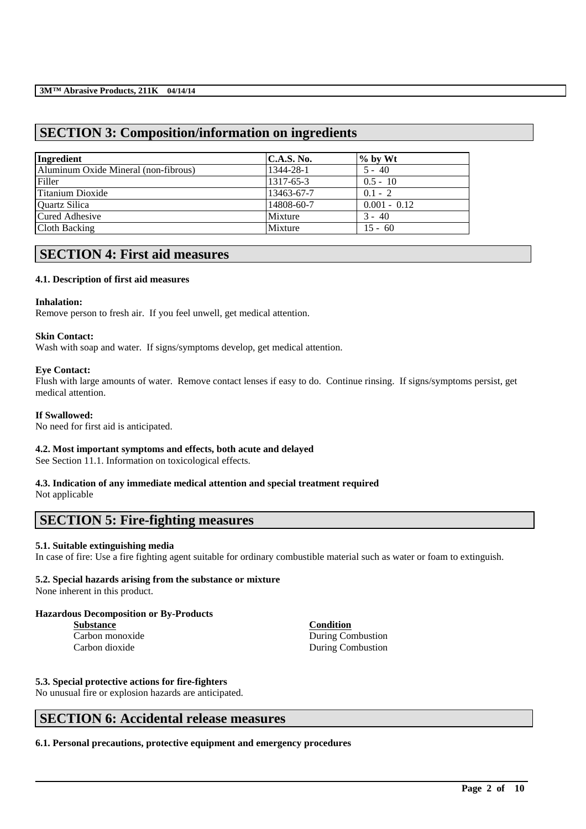# **SECTION 3: Composition/information on ingredients**

| Ingredient                           | C.A.S. No. | $\%$ by Wt     |
|--------------------------------------|------------|----------------|
| Aluminum Oxide Mineral (non-fibrous) | 1344-28-1  | $5 - 40$       |
| Filler                               | 1317-65-3  | $0.5 - 10$     |
| Titanium Dioxide                     | 13463-67-7 | $0.1 - 2$      |
| Quartz Silica                        | 14808-60-7 | $0.001 - 0.12$ |
| Cured Adhesive                       | Mixture    | $3 - 40$       |
| Cloth Backing                        | Mixture    | $15 - 60$      |

# **SECTION 4: First aid measures**

## **4.1. Description of first aid measures**

### **Inhalation:**

Remove person to fresh air. If you feel unwell, get medical attention.

### **Skin Contact:**

Wash with soap and water. If signs/symptoms develop, get medical attention.

## **Eye Contact:**

Flush with large amounts of water. Remove contact lenses if easy to do. Continue rinsing. If signs/symptoms persist, get medical attention.

## **If Swallowed:**

No need for first aid is anticipated.

## **4.2. Most important symptoms and effects, both acute and delayed**

See Section 11.1. Information on toxicological effects.

## **4.3. Indication of any immediate medical attention and special treatment required**

Not applicable

## **SECTION 5: Fire-fighting measures**

## **5.1. Suitable extinguishing media**

In case of fire: Use a fire fighting agent suitable for ordinary combustible material such as water or foam to extinguish.

\_\_\_\_\_\_\_\_\_\_\_\_\_\_\_\_\_\_\_\_\_\_\_\_\_\_\_\_\_\_\_\_\_\_\_\_\_\_\_\_\_\_\_\_\_\_\_\_\_\_\_\_\_\_\_\_\_\_\_\_\_\_\_\_\_\_\_\_\_\_\_\_\_\_\_\_\_\_\_\_\_\_\_\_\_\_\_\_\_\_

## **5.2. Special hazards arising from the substance or mixture**

None inherent in this product.

## **Hazardous Decomposition or By-Products**

**Substance Condition**

Carbon monoxide During Combustion Carbon dioxide During Combustion

## **5.3. Special protective actions for fire-fighters**

No unusual fire or explosion hazards are anticipated.

# **SECTION 6: Accidental release measures**

**6.1. Personal precautions, protective equipment and emergency procedures**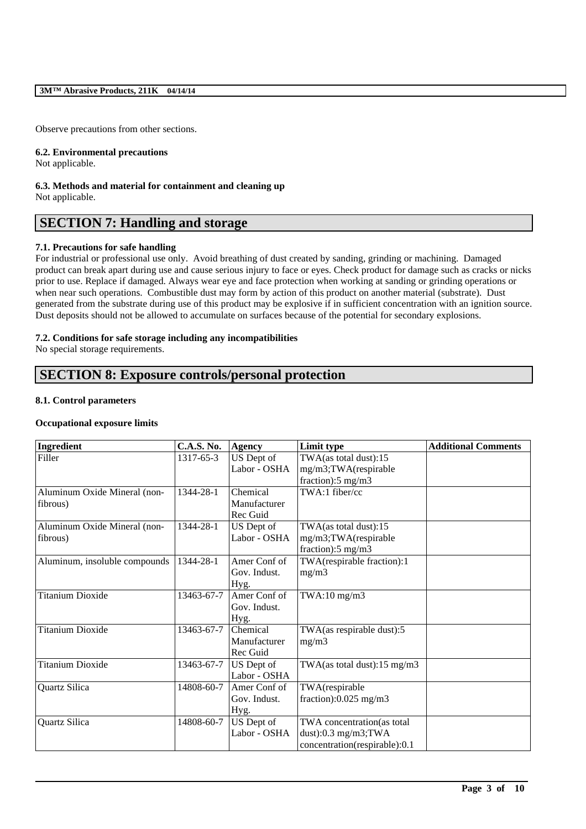Observe precautions from other sections.

### **6.2. Environmental precautions**

Not applicable.

#### **6.3. Methods and material for containment and cleaning up** Not applicable.

# **SECTION 7: Handling and storage**

## **7.1. Precautions for safe handling**

For industrial or professional use only. Avoid breathing of dust created by sanding, grinding or machining. Damaged product can break apart during use and cause serious injury to face or eyes. Check product for damage such as cracks or nicks prior to use. Replace if damaged. Always wear eye and face protection when working at sanding or grinding operations or when near such operations. Combustible dust may form by action of this product on another material (substrate). Dust generated from the substrate during use of this product may be explosive if in sufficient concentration with an ignition source. Dust deposits should not be allowed to accumulate on surfaces because of the potential for secondary explosions.

## **7.2. Conditions for safe storage including any incompatibilities**

No special storage requirements.

# **SECTION 8: Exposure controls/personal protection**

## **8.1. Control parameters**

## **Occupational exposure limits**

| Ingredient                               | <b>C.A.S. No.</b> | <b>Agency</b>                        | Limit type                                                                            | <b>Additional Comments</b> |
|------------------------------------------|-------------------|--------------------------------------|---------------------------------------------------------------------------------------|----------------------------|
| Filler                                   | 1317-65-3         | US Dept of<br>Labor - OSHA           | TWA(as total dust):15<br>mg/m3;TWA(respirable<br>fraction): $5 \text{ mg/m}$ 3        |                            |
| Aluminum Oxide Mineral (non-<br>fibrous) | 1344-28-1         | Chemical<br>Manufacturer<br>Rec Guid | TWA:1 fiber/cc                                                                        |                            |
| Aluminum Oxide Mineral (non-<br>fibrous) | 1344-28-1         | US Dept of<br>Labor - OSHA           | TWA(as total dust):15<br>mg/m3;TWA(respirable<br>fraction): $5 \text{ mg/m}$ 3        |                            |
| Aluminum, insoluble compounds            | 1344-28-1         | Amer Conf of<br>Gov. Indust.<br>Hyg. | TWA(respirable fraction):1<br>mg/m3                                                   |                            |
| <b>Titanium Dioxide</b>                  | 13463-67-7        | Amer Conf of<br>Gov. Indust.<br>Hyg. | TWA:10 mg/m3                                                                          |                            |
| <b>Titanium Dioxide</b>                  | 13463-67-7        | Chemical<br>Manufacturer<br>Rec Guid | TWA(as respirable dust):5<br>mg/m3                                                    |                            |
| <b>Titanium Dioxide</b>                  | 13463-67-7        | US Dept of<br>Labor - OSHA           | TWA(as total dust): $15 \text{ mg/m}$ 3                                               |                            |
| Quartz Silica                            | 14808-60-7        | Amer Conf of<br>Gov. Indust.<br>Hyg. | TWA(respirable<br>fraction): $0.025$ mg/m3                                            |                            |
| Quartz Silica                            | 14808-60-7        | US Dept of<br>Labor - OSHA           | TWA concentration(as total<br>dust): $0.3$ mg/m3;TWA<br>concentration(respirable):0.1 |                            |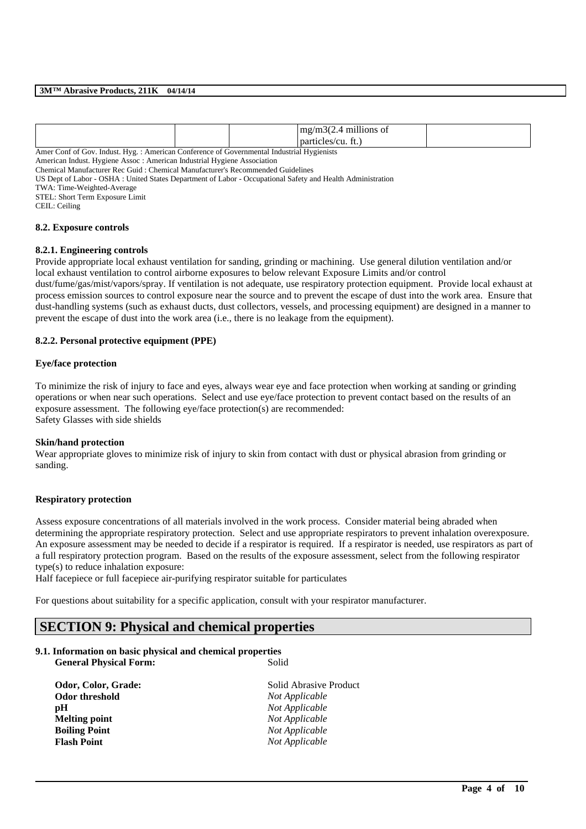|                                                                                           |  |  | $mg/m3(2.4$ millions of |  |
|-------------------------------------------------------------------------------------------|--|--|-------------------------|--|
|                                                                                           |  |  | particles/cu. ft.)      |  |
| Amer Conf of Gov. Indust. Hyg.: American Conference of Governmental Industrial Hygienists |  |  |                         |  |

American Indust. Hygiene Assoc : American Industrial Hygiene Association

Chemical Manufacturer Rec Guid : Chemical Manufacturer's Recommended Guidelines

US Dept of Labor - OSHA : United States Department of Labor - Occupational Safety and Health Administration

TWA: Time-Weighted-Average

STEL: Short Term Exposure Limit

CEIL: Ceiling

#### **8.2. Exposure controls**

#### **8.2.1. Engineering controls**

Provide appropriate local exhaust ventilation for sanding, grinding or machining. Use general dilution ventilation and/or local exhaust ventilation to control airborne exposures to below relevant Exposure Limits and/or control

dust/fume/gas/mist/vapors/spray. If ventilation is not adequate, use respiratory protection equipment. Provide local exhaust at process emission sources to control exposure near the source and to prevent the escape of dust into the work area. Ensure that dust-handling systems (such as exhaust ducts, dust collectors, vessels, and processing equipment) are designed in a manner to prevent the escape of dust into the work area (i.e., there is no leakage from the equipment).

## **8.2.2. Personal protective equipment (PPE)**

### **Eye/face protection**

To minimize the risk of injury to face and eyes, always wear eye and face protection when working at sanding or grinding operations or when near such operations. Select and use eye/face protection to prevent contact based on the results of an exposure assessment. The following eye/face protection(s) are recommended: Safety Glasses with side shields

#### **Skin/hand protection**

Wear appropriate gloves to minimize risk of injury to skin from contact with dust or physical abrasion from grinding or sanding.

#### **Respiratory protection**

Assess exposure concentrations of all materials involved in the work process. Consider material being abraded when determining the appropriate respiratory protection. Select and use appropriate respirators to prevent inhalation overexposure. An exposure assessment may be needed to decide if a respirator is required. If a respirator is needed, use respirators as part of a full respiratory protection program. Based on the results of the exposure assessment, select from the following respirator type(s) to reduce inhalation exposure:

\_\_\_\_\_\_\_\_\_\_\_\_\_\_\_\_\_\_\_\_\_\_\_\_\_\_\_\_\_\_\_\_\_\_\_\_\_\_\_\_\_\_\_\_\_\_\_\_\_\_\_\_\_\_\_\_\_\_\_\_\_\_\_\_\_\_\_\_\_\_\_\_\_\_\_\_\_\_\_\_\_\_\_\_\_\_\_\_\_\_

Half facepiece or full facepiece air-purifying respirator suitable for particulates

For questions about suitability for a specific application, consult with your respirator manufacturer.

## **SECTION 9: Physical and chemical properties**

#### **9.1. Information on basic physical and chemical properties General Physical Form:** Solid

| Odor, Color, Grade:  | Solid Abrasive Product |
|----------------------|------------------------|
| Odor threshold       | Not Applicable         |
| pH                   | Not Applicable         |
| <b>Melting point</b> | Not Applicable         |
| <b>Boiling Point</b> | Not Applicable         |
| <b>Flash Point</b>   | Not Applicable         |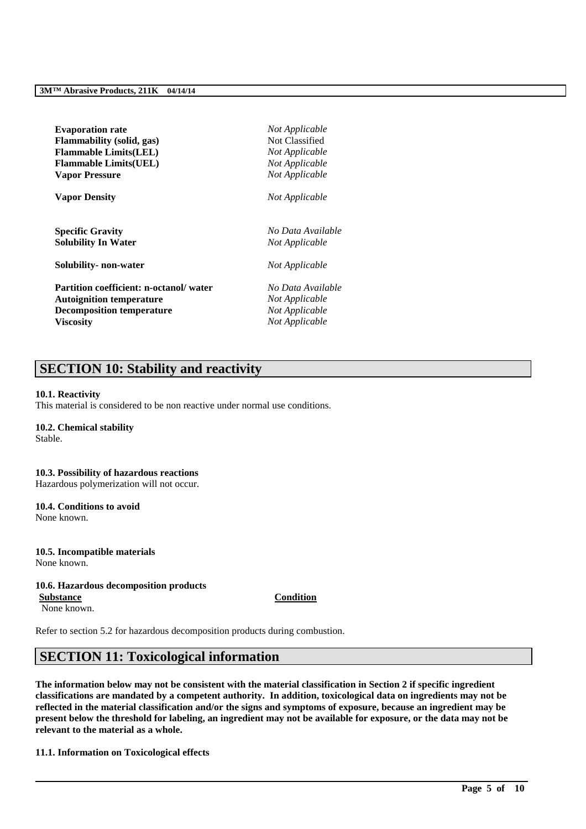| <b>Evaporation rate</b>                       | Not Applicable    |
|-----------------------------------------------|-------------------|
| <b>Flammability</b> (solid, gas)              | Not Classified    |
| <b>Flammable Limits(LEL)</b>                  | Not Applicable    |
| <b>Flammable Limits (UEL)</b>                 | Not Applicable    |
| <b>Vapor Pressure</b>                         | Not Applicable    |
| <b>Vapor Density</b>                          | Not Applicable    |
| <b>Specific Gravity</b>                       | No Data Available |
| <b>Solubility In Water</b>                    | Not Applicable    |
| Solubility- non-water                         | Not Applicable    |
| <b>Partition coefficient: n-octanol/water</b> | No Data Available |
| <b>Autoignition temperature</b>               | Not Applicable    |
| <b>Decomposition temperature</b>              | Not Applicable    |
| Viscositv                                     | Not Applicable    |

# **SECTION 10: Stability and reactivity**

#### **10.1. Reactivity**

This material is considered to be non reactive under normal use conditions.

## **10.2. Chemical stability**

Stable.

## **10.3. Possibility of hazardous reactions**

Hazardous polymerization will not occur.

# **10.4. Conditions to avoid**

None known.

### **10.5. Incompatible materials** None known.

#### **10.6. Hazardous decomposition products**

**Substance Condition** None known.

Refer to section 5.2 for hazardous decomposition products during combustion.

# **SECTION 11: Toxicological information**

**The information below may not be consistent with the material classification in Section 2 if specific ingredient classifications are mandated by a competent authority. In addition, toxicological data on ingredients may not be reflected in the material classification and/or the signs and symptoms of exposure, because an ingredient may be present below the threshold for labeling, an ingredient may not be available for exposure, or the data may not be relevant to the material as a whole.**

\_\_\_\_\_\_\_\_\_\_\_\_\_\_\_\_\_\_\_\_\_\_\_\_\_\_\_\_\_\_\_\_\_\_\_\_\_\_\_\_\_\_\_\_\_\_\_\_\_\_\_\_\_\_\_\_\_\_\_\_\_\_\_\_\_\_\_\_\_\_\_\_\_\_\_\_\_\_\_\_\_\_\_\_\_\_\_\_\_\_

#### **11.1. Information on Toxicological effects**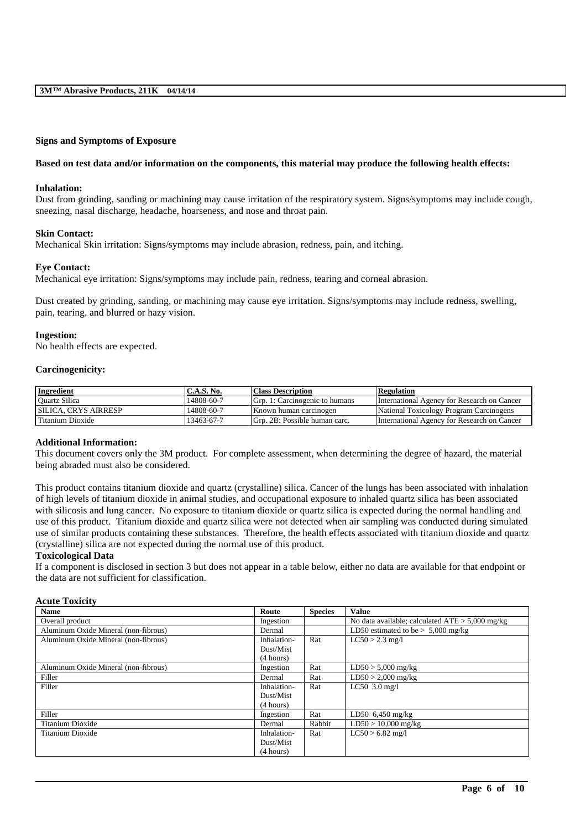#### **Signs and Symptoms of Exposure**

#### **Based on test data and/or information on the components, this material may produce the following health effects:**

### **Inhalation:**

Dust from grinding, sanding or machining may cause irritation of the respiratory system. Signs/symptoms may include cough, sneezing, nasal discharge, headache, hoarseness, and nose and throat pain.

#### **Skin Contact:**

Mechanical Skin irritation: Signs/symptoms may include abrasion, redness, pain, and itching.

#### **Eye Contact:**

Mechanical eye irritation: Signs/symptoms may include pain, redness, tearing and corneal abrasion.

Dust created by grinding, sanding, or machining may cause eye irritation. Signs/symptoms may include redness, swelling, pain, tearing, and blurred or hazy vision.

#### **Ingestion:**

No health effects are expected.

#### **Carcinogenicity:**

| Ingredient                  | C.A.S. No. | <b>Class Description</b>       | <b>Regulation</b>                           |
|-----------------------------|------------|--------------------------------|---------------------------------------------|
| <b>Ouartz Silica</b>        | 14808-60-7 | Grp. 1: Carcinogenic to humans | International Agency for Research on Cancer |
| <b>SILICA. CRYS AIRRESP</b> | 14808-60-7 | Known human carcinogen         | National Toxicology Program Carcinogens     |
| Titanium Dioxide            | 13463-67-7 | Grp. 2B: Possible human carc.  | International Agency for Research on Cancer |

#### **Additional Information:**

This document covers only the 3M product. For complete assessment, when determining the degree of hazard, the material being abraded must also be considered.

This product contains titanium dioxide and quartz (crystalline) silica. Cancer of the lungs has been associated with inhalation of high levels of titanium dioxide in animal studies, and occupational exposure to inhaled quartz silica has been associated with silicosis and lung cancer. No exposure to titanium dioxide or quartz silica is expected during the normal handling and use of this product. Titanium dioxide and quartz silica were not detected when air sampling was conducted during simulated use of similar products containing these substances. Therefore, the health effects associated with titanium dioxide and quartz (crystalline) silica are not expected during the normal use of this product.

## **Toxicological Data**

If a component is disclosed in section 3 but does not appear in a table below, either no data are available for that endpoint or the data are not sufficient for classification.

### **Acute Toxicity**

| <b>Name</b>                          | Route       | <b>Species</b> | <b>Value</b>                                      |
|--------------------------------------|-------------|----------------|---------------------------------------------------|
| Overall product                      | Ingestion   |                | No data available; calculated $ATE > 5,000$ mg/kg |
| Aluminum Oxide Mineral (non-fibrous) | Dermal      |                | LD50 estimated to be $> 5,000$ mg/kg              |
| Aluminum Oxide Mineral (non-fibrous) | Inhalation- | Rat            | $LC50 > 2.3$ mg/l                                 |
|                                      | Dust/Mist   |                |                                                   |
|                                      | (4 hours)   |                |                                                   |
| Aluminum Oxide Mineral (non-fibrous) | Ingestion   | Rat            | $LD50 > 5,000$ mg/kg                              |
| Filler                               | Dermal      | Rat            | $LD50 > 2,000$ mg/kg                              |
| Filler                               | Inhalation- | Rat            | $LC50$ 3.0 mg/l                                   |
|                                      | Dust/Mist   |                |                                                   |
|                                      | (4 hours)   |                |                                                   |
| Filler                               | Ingestion   | Rat            | $LD50$ 6,450 mg/kg                                |
| Titanium Dioxide                     | Dermal      | Rabbit         | $LD50 > 10,000$ mg/kg                             |
| Titanium Dioxide                     | Inhalation- | Rat            | $LC50 > 6.82$ mg/l                                |
|                                      | Dust/Mist   |                |                                                   |
|                                      | (4 hours)   |                |                                                   |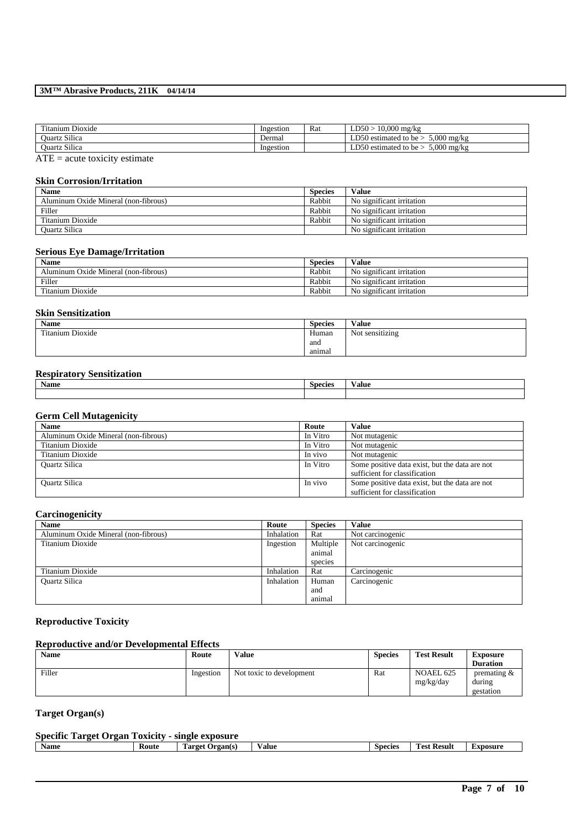| Titanium Dioxide     | Ingestion | Rat | $LD50 > 10,000$ mg/kg                     |
|----------------------|-----------|-----|-------------------------------------------|
| Quartz Silica        | Dermal    |     | $5.000$ mg/kg<br>LD50 estimated to be $>$ |
| <b>Ouartz Silica</b> | Ingestion |     | $5.000$ mg/kg<br>LD50 estimated to be $>$ |
| $\sim$ $-$           |           |     |                                           |

 $ATE = acute$  toxicity estimate

## **Skin Corrosion/Irritation**

| <b>Name</b>                          | <b>Species</b> | <b>Value</b>              |
|--------------------------------------|----------------|---------------------------|
| Aluminum Oxide Mineral (non-fibrous) | Rabbit         | No significant irritation |
| Filler                               | Rabbit         | No significant irritation |
| Titanium Dioxide                     | Rabbit         | No significant irritation |
| <b>Ouartz Silica</b>                 |                | No significant irritation |

#### **Serious Eye Damage/Irritation**

| <b>Name</b>                          | <b>Species</b> | Value                     |
|--------------------------------------|----------------|---------------------------|
| Aluminum Oxide Mineral (non-fibrous) | Rabbit         | No significant irritation |
| Filler                               | Rabbit         | No significant irritation |
| Titanium Dioxide                     | Rabbit         | No significant irritation |

#### **Skin Sensitization**

| Name                              | <b>Species</b> | Value           |
|-----------------------------------|----------------|-----------------|
| rent a<br><b>Titanium Dioxide</b> | Human          | Not sensitizing |
|                                   | and            |                 |
|                                   | animal         |                 |

## **Respiratory Sensitization**

| <b>Name</b> | Species | $-$<br>⁄ alue |
|-------------|---------|---------------|
|             |         |               |

## **Germ Cell Mutagenicity**

| <b>Name</b>                          | Route    | Value                                          |
|--------------------------------------|----------|------------------------------------------------|
| Aluminum Oxide Mineral (non-fibrous) | In Vitro | Not mutagenic                                  |
| Titanium Dioxide                     | In Vitro | Not mutagenic                                  |
| Titanium Dioxide                     | In vivo  | Not mutagenic                                  |
| <b>Ouartz Silica</b>                 | In Vitro | Some positive data exist, but the data are not |
|                                      |          | sufficient for classification                  |
| <b>Ouartz Silica</b>                 | In vivo  | Some positive data exist, but the data are not |
|                                      |          | sufficient for classification                  |

## **Carcinogenicity**

| <b>Name</b>                          | Route      | <b>Species</b> | <b>Value</b>     |
|--------------------------------------|------------|----------------|------------------|
| Aluminum Oxide Mineral (non-fibrous) | Inhalation | Rat            | Not carcinogenic |
| Titanium Dioxide                     | Ingestion  | Multiple       | Not carcinogenic |
|                                      |            | animal         |                  |
|                                      |            | species        |                  |
| Titanium Dioxide                     | Inhalation | Rat            | Carcinogenic     |
| <b>Ouartz Silica</b>                 | Inhalation | Human          | Carcinogenic     |
|                                      |            | and            |                  |
|                                      |            | animal         |                  |

## **Reproductive Toxicity**

## **Reproductive and/or Developmental Effects**

| <b>Name</b> | Route     | <b>Value</b>             | <b>Species</b> | <b>Test Result</b>     | Exposure<br><b>Duration</b>           |
|-------------|-----------|--------------------------|----------------|------------------------|---------------------------------------|
| Filler      | Ingestion | Not toxic to development | Rat            | NOAEL 625<br>mg/kg/day | premating $\&$<br>during<br>gestation |

## **Target Organ(s)**

## **Specific Target Organ Toxicity - single exposure**

| Name<br>Route<br><b>Result</b><br>±xposure<br>Species<br>1 arget<br>Value<br>Prgan(s) |
|---------------------------------------------------------------------------------------|
|---------------------------------------------------------------------------------------|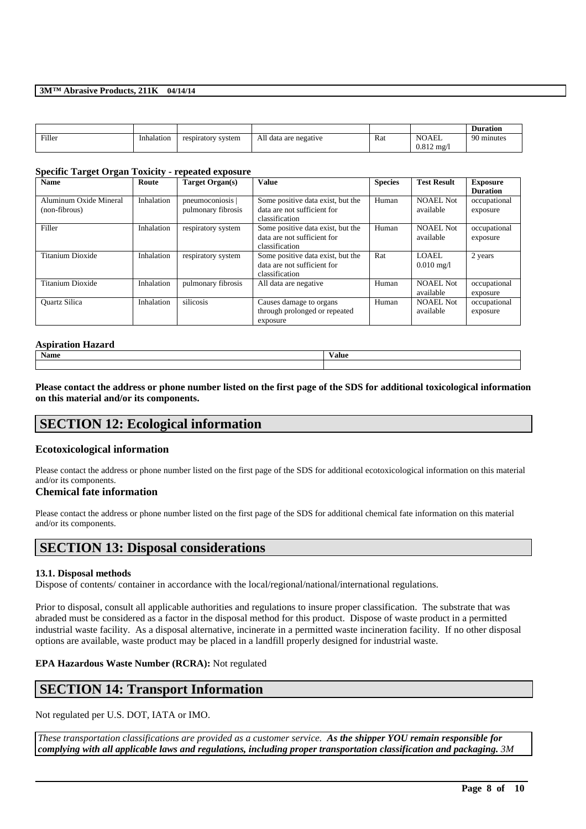|        |            |                    |                       |     |                                       | <b>Duration</b> |
|--------|------------|--------------------|-----------------------|-----|---------------------------------------|-----------------|
| Filler | Inhalation | respiratory system | All data are negative | Rat | <b>NOAEL</b><br>$0.812 \text{ mg}$ /l | 90 minutes      |

#### **Specific Target Organ Toxicity - repeated exposure**

| <b>Name</b>                             | Route      | <b>Target Organ(s)</b>                 | <b>Value</b>                                                                       | <b>Species</b> | <b>Test Result</b>            | <b>Exposure</b><br><b>Duration</b> |
|-----------------------------------------|------------|----------------------------------------|------------------------------------------------------------------------------------|----------------|-------------------------------|------------------------------------|
| Aluminum Oxide Mineral<br>(non-fibrous) | Inhalation | pneumoconiosis  <br>pulmonary fibrosis | Some positive data exist, but the<br>data are not sufficient for<br>classification | Human          | <b>NOAEL Not</b><br>available | occupational<br>exposure           |
| Filler                                  | Inhalation | respiratory system                     | Some positive data exist, but the<br>data are not sufficient for<br>classification | Human          | <b>NOAEL Not</b><br>available | occupational<br>exposure           |
| Titanium Dioxide                        | Inhalation | respiratory system                     | Some positive data exist, but the<br>data are not sufficient for<br>classification | Rat            | LOAEL<br>$0.010 \text{ mg/l}$ | 2 years                            |
| Titanium Dioxide                        | Inhalation | pulmonary fibrosis                     | All data are negative                                                              | Human          | NOAEL Not<br>available        | occupational<br>exposure           |
| <b>Ouartz Silica</b>                    | Inhalation | silicosis                              | Causes damage to organs<br>through prolonged or repeated<br>exposure               | Human          | <b>NOAEL Not</b><br>available | occupational<br>exposure           |

# **Aspiration Hazard Name Value**

**Please contact the address or phone number listed on the first page of the SDS for additional toxicological information on this material and/or its components.**

## **SECTION 12: Ecological information**

## **Ecotoxicological information**

Please contact the address or phone number listed on the first page of the SDS for additional ecotoxicological information on this material and/or its components.

#### **Chemical fate information**

Please contact the address or phone number listed on the first page of the SDS for additional chemical fate information on this material and/or its components.

## **SECTION 13: Disposal considerations**

#### **13.1. Disposal methods**

Dispose of contents/ container in accordance with the local/regional/national/international regulations.

Prior to disposal, consult all applicable authorities and regulations to insure proper classification. The substrate that was abraded must be considered as a factor in the disposal method for this product. Dispose of waste product in a permitted industrial waste facility. As a disposal alternative, incinerate in a permitted waste incineration facility. If no other disposal options are available, waste product may be placed in a landfill properly designed for industrial waste.

## **EPA Hazardous Waste Number (RCRA):** Not regulated

# **SECTION 14: Transport Information**

Not regulated per U.S. DOT, IATA or IMO.

*These transportation classifications are provided as a customer service. As the shipper YOU remain responsible for complying with all applicable laws and regulations, including proper transportation classification and packaging. 3M*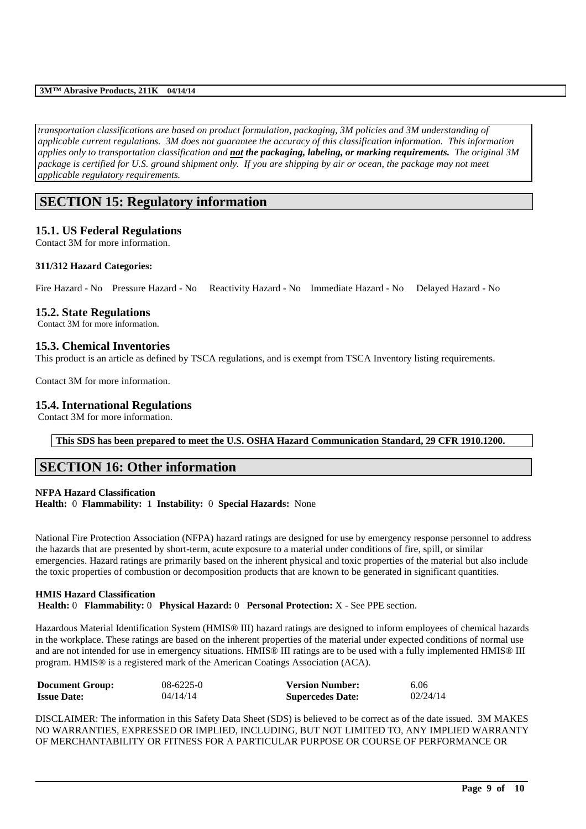*transportation classifications are based on product formulation, packaging, 3M policies and 3M understanding of applicable current regulations. 3M does not guarantee the accuracy of this classification information. This information applies only to transportation classification and not the packaging, labeling, or marking requirements. The original 3M package is certified for U.S. ground shipment only. If you are shipping by air or ocean, the package may not meet applicable regulatory requirements.* 

# **SECTION 15: Regulatory information**

## **15.1. US Federal Regulations**

Contact 3M for more information.

## **311/312 Hazard Categories:**

Fire Hazard - No Pressure Hazard - No Reactivity Hazard - No Immediate Hazard - No Delayed Hazard - No

## **15.2. State Regulations**

Contact 3M for more information.

## **15.3. Chemical Inventories**

This product is an article as defined by TSCA regulations, and is exempt from TSCA Inventory listing requirements.

Contact 3M for more information.

## **15.4. International Regulations**

Contact 3M for more information.

**This SDS has been prepared to meet the U.S. OSHA Hazard Communication Standard, 29 CFR 1910.1200.**

## **SECTION 16: Other information**

## **NFPA Hazard Classification Health:** 0 **Flammability:** 1 **Instability:** 0 **Special Hazards:** None

National Fire Protection Association (NFPA) hazard ratings are designed for use by emergency response personnel to address the hazards that are presented by short-term, acute exposure to a material under conditions of fire, spill, or similar emergencies. Hazard ratings are primarily based on the inherent physical and toxic properties of the material but also include the toxic properties of combustion or decomposition products that are known to be generated in significant quantities.

## **HMIS Hazard Classification**

**Health:** 0 **Flammability:** 0 **Physical Hazard:** 0 **Personal Protection:** X - See PPE section.

Hazardous Material Identification System (HMIS® III) hazard ratings are designed to inform employees of chemical hazards in the workplace. These ratings are based on the inherent properties of the material under expected conditions of normal use and are not intended for use in emergency situations. HMIS® III ratings are to be used with a fully implemented HMIS® III program. HMIS® is a registered mark of the American Coatings Association (ACA).

| <b>Document Group:</b> | $08 - 6225 - 0$ | <b>Version Number:</b>  | 6.06     |
|------------------------|-----------------|-------------------------|----------|
| <b>Issue Date:</b>     | 04/14/14        | <b>Supercedes Date:</b> | 02/24/14 |

DISCLAIMER: The information in this Safety Data Sheet (SDS) is believed to be correct as of the date issued. 3M MAKES NO WARRANTIES, EXPRESSED OR IMPLIED, INCLUDING, BUT NOT LIMITED TO, ANY IMPLIED WARRANTY OF MERCHANTABILITY OR FITNESS FOR A PARTICULAR PURPOSE OR COURSE OF PERFORMANCE OR